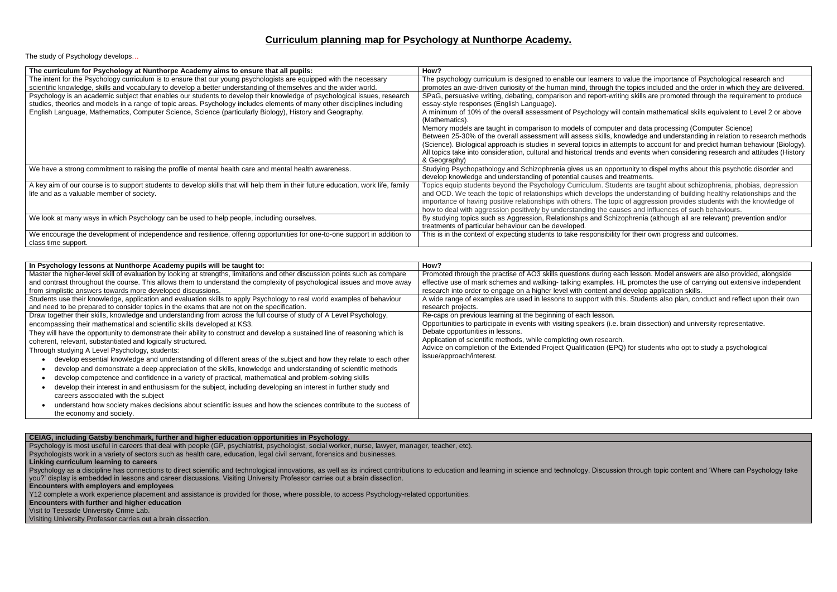# **Curriculum planning map for Psychology at Nunthorpe Academy.**

The study of Psychology develops…

| The curriculum for Psychology at Nunthorpe Academy aims to ensure that all pupils:                                                                                                                                                                                                                                                                              | How?                                                                                                                                                                                                                                                                                                                                                                                                                                                                                                                                            |
|-----------------------------------------------------------------------------------------------------------------------------------------------------------------------------------------------------------------------------------------------------------------------------------------------------------------------------------------------------------------|-------------------------------------------------------------------------------------------------------------------------------------------------------------------------------------------------------------------------------------------------------------------------------------------------------------------------------------------------------------------------------------------------------------------------------------------------------------------------------------------------------------------------------------------------|
| The intent for the Psychology curriculum is to ensure that our young psychologists are equipped with the necessary                                                                                                                                                                                                                                              | The psychology curriculum is designed to enable our learners to value the                                                                                                                                                                                                                                                                                                                                                                                                                                                                       |
| scientific knowledge, skills and vocabulary to develop a better understanding of themselves and the wider world.                                                                                                                                                                                                                                                | promotes an awe-driven curiosity of the human mind, through the topics in                                                                                                                                                                                                                                                                                                                                                                                                                                                                       |
| Psychology is an academic subject that enables our students to develop their knowledge of psychological issues, research<br>studies, theories and models in a range of topic areas. Psychology includes elements of many other disciplines including<br>English Language, Mathematics, Computer Science, Science (particularly Biology), History and Geography. | SPaG, persuasive writing, debating, comparison and report-writing skills an<br>essay-style responses (English Language).<br>A minimum of 10% of the overall assessment of Psychology will contain ma<br>(Mathematics).<br>Memory models are taught in comparison to models of computer and data<br>Between 25-30% of the overall assessment will assess skills, knowledge a<br>(Science). Biological approach is studies in several topics in attempts to ac<br>All topics take into consideration, cultural and historical trends and events v |
|                                                                                                                                                                                                                                                                                                                                                                 | & Geography)                                                                                                                                                                                                                                                                                                                                                                                                                                                                                                                                    |
| We have a strong commitment to raising the profile of mental health care and mental health awareness.                                                                                                                                                                                                                                                           | Studying Psychopathology and Schizophrenia gives us an opportunity to d<br>develop knowledge and understanding of potential causes and treatments.                                                                                                                                                                                                                                                                                                                                                                                              |
| A key aim of our course is to support students to develop skills that will help them in their future education, work life, family<br>life and as a valuable member of society.                                                                                                                                                                                  | Topics equip students beyond the Psychology Curriculum. Students are ta<br>and OCD. We teach the topic of relationships which develops the understa<br>importance of having positive relationships with others. The topic of aggres<br>how to deal with aggression positively by understanding the causes and in                                                                                                                                                                                                                                |
| We look at many ways in which Psychology can be used to help people, including ourselves.                                                                                                                                                                                                                                                                       | By studying topics such as Aggression, Relationships and Schizophrenia (<br>treatments of particular behaviour can be developed.                                                                                                                                                                                                                                                                                                                                                                                                                |
| We encourage the development of independence and resilience, offering opportunities for one-to-one support in addition to<br>class time support.                                                                                                                                                                                                                | This is in the context of expecting students to take responsibility for their ov                                                                                                                                                                                                                                                                                                                                                                                                                                                                |
|                                                                                                                                                                                                                                                                                                                                                                 |                                                                                                                                                                                                                                                                                                                                                                                                                                                                                                                                                 |

Psychology as a discipline has connections to direct scientific and technological innovations, as well as its indirect contributions to education and learning in science and technology. Discussion through topic content and you?' display is embedded in lessons and career discussions. Visiting University Professor carries out a brain dissection.

| How?                                                                    |
|-------------------------------------------------------------------------|
| Promoted through the practise of AO3 skills questions during each       |
| effective use of mark schemes and walking-talking examples. HL p        |
| research into order to engage on a higher level with content and de     |
| A wide range of examples are used in lessons to support with this.      |
| research projects.                                                      |
| Re-caps on previous learning at the beginning of each lesson.           |
| Opportunities to participate in events with visiting speakers (i.e. bra |
| Debate opportunities in lessons.                                        |
| Application of scientific methods, while completing own research.       |
| Advice on completion of the Extended Project Qualification (EPQ) f      |
| issue/approach/interest.                                                |
|                                                                         |
|                                                                         |
|                                                                         |
|                                                                         |
|                                                                         |
|                                                                         |
|                                                                         |

## **CEIAG, including Gatsby benchmark, further and higher education opportunities in Psychology.**

Psychology is most useful in careers that deal with people (GP, psychiatrist, psychologist, social worker, nurse, lawyer, manager, teacher, etc).

Psychologists work in a variety of sectors such as health care, education, legal civil servant, forensics and businesses.

**Linking curriculum learning to careers**

**Encounters with employers and employees**

Y12 complete a work experience placement and assistance is provided for those, where possible, to access Psychology-related opportunities.

**Encounters with further and higher education**

Visit to Teesside University Crime Lab.

Visiting University Professor carries out a brain dissection.

lue the importance of Psychological research and ppics included and the order in which they are delivered. skills are promoted through the requirement to produce

htain mathematical skills equivalent to Level 2 or above

nd data processing (Computer Science) ledge and understanding in relation to research methods ts to account for and predict human behaviour (Biology). events when considering research and attitudes (History

hity to dispel myths about this psychotic disorder and

are taught about schizophrenia, phobias, depression nderstanding of building healthy relationships and the aggression provides students with the knowledge of and influences of such behaviours.

Intenia (although all are relevant) prevention and/or

their own progress and outcomes.

lesson. Model answers are also provided, alongside promotes the use of carrying out extensive independent relop application skills.

Students also plan, conduct and reflect upon their own

in dissection) and university representative.

for students who opt to study a psychological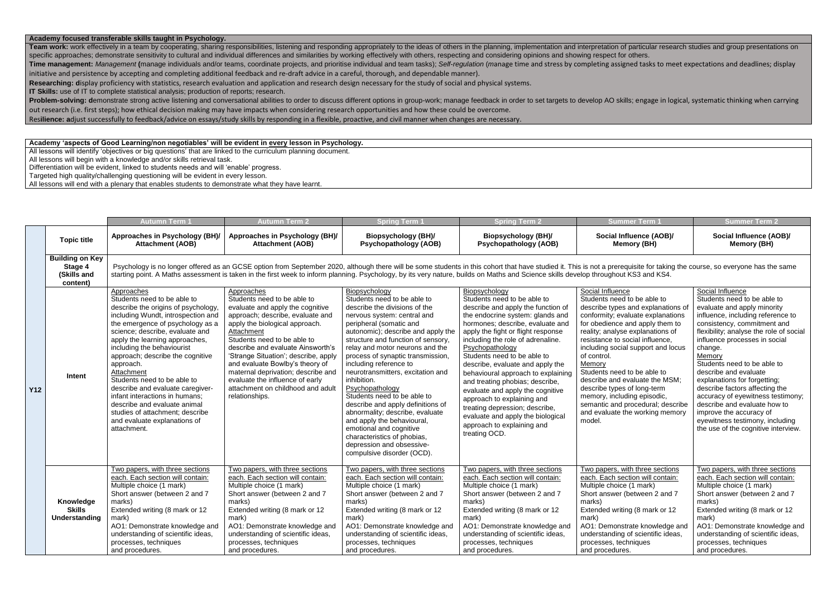## **Academy focused transferable skills taught in Psychology.**

Team work: work effectively in a team by cooperating, sharing responsibilities, listening and responding appropriately to the ideas of others in the planning, implementation and interpretation of particular research studie specific approaches; demonstrate sensitivity to cultural and individual differences and similarities by working effectively with others, respecting and considering opinions and showing respect for others. Time management: Management (manage individuals and/or teams, coordinate projects, and prioritise individual and team tasks); Self-regulation (manage time and stress by completing assigned tasks to meet expectations and de initiative and persistence by accepting and completing additional feedback and re-draft advice in a careful, thorough, and dependable manner).

**Researching:** display proficiency with statistics, research evaluation and application and research design necessary for the study of social and physical systems.

Problem-solving: demonstrate strong active listening and conversational abilities to order to discuss different options in group-work; manage feedback in order to set targets to develop AO skills; engage in logical, system out research (i.e. first steps); how ethical decision making may have impacts when considering research opportunities and how these could be overcome.

Resilience: adjust successfully to feedback/advice on essays/study skills by responding in a flexible, proactive, and civil manner when changes are necessary.

**IT Skills:** use of IT to complete statistical analysis; production of reports; research.

## **Academy 'aspects of Good Learning/non negotiables' will be evident in every lesson in Psychology.**

All lessons will identify 'objectives or big questions' that are linked to the curriculum planning document.

All lessons will begin with a knowledge and/or skills retrieval task.

Differentiation will be evident, linked to students needs and will 'enable' progress.

Targeted high quality/challenging questioning will be evident in every lesson.

All lessons will end with a plenary that enables students to demonstrate what they have learnt.

|            |                                                              | <b>Autumn Term 1</b>                                                                                                                                                                                                                                                                                                                                                                                                                                                                                                                                | <b>Autumn Term 2</b>                                                                                                                                                                                                                                                                                                                                                                                                                             | <b>Spring Term 1</b>                                                                                                                                                                                                                                                                                                                                                                                                                                                                                                                                                                                                                                   | <b>Spring Term 2</b>                                                                                                                                                                                                                                                                                                                                                                                                                                                                                                                                                                         | <b>Summer Term 1</b>                                                                                                                                                                                                                                                                                                                                                                                                                                                                                                 | <b>Summer Term 2</b>                                                                                                                                                                                                                                                                                                                                                                                                                                                                                                                                    |
|------------|--------------------------------------------------------------|-----------------------------------------------------------------------------------------------------------------------------------------------------------------------------------------------------------------------------------------------------------------------------------------------------------------------------------------------------------------------------------------------------------------------------------------------------------------------------------------------------------------------------------------------------|--------------------------------------------------------------------------------------------------------------------------------------------------------------------------------------------------------------------------------------------------------------------------------------------------------------------------------------------------------------------------------------------------------------------------------------------------|--------------------------------------------------------------------------------------------------------------------------------------------------------------------------------------------------------------------------------------------------------------------------------------------------------------------------------------------------------------------------------------------------------------------------------------------------------------------------------------------------------------------------------------------------------------------------------------------------------------------------------------------------------|----------------------------------------------------------------------------------------------------------------------------------------------------------------------------------------------------------------------------------------------------------------------------------------------------------------------------------------------------------------------------------------------------------------------------------------------------------------------------------------------------------------------------------------------------------------------------------------------|----------------------------------------------------------------------------------------------------------------------------------------------------------------------------------------------------------------------------------------------------------------------------------------------------------------------------------------------------------------------------------------------------------------------------------------------------------------------------------------------------------------------|---------------------------------------------------------------------------------------------------------------------------------------------------------------------------------------------------------------------------------------------------------------------------------------------------------------------------------------------------------------------------------------------------------------------------------------------------------------------------------------------------------------------------------------------------------|
|            | <b>Topic title</b>                                           | Approaches in Psychology (BH)/<br><b>Attachment (AOB)</b>                                                                                                                                                                                                                                                                                                                                                                                                                                                                                           | Approaches in Psychology (BH)/<br><b>Attachment (AOB)</b>                                                                                                                                                                                                                                                                                                                                                                                        | <b>Biopsychology (BH)/</b><br><b>Psychopathology (AOB)</b>                                                                                                                                                                                                                                                                                                                                                                                                                                                                                                                                                                                             | <b>Biopsychology (BH)/</b><br><b>Psychopathology (AOB)</b>                                                                                                                                                                                                                                                                                                                                                                                                                                                                                                                                   | Social Influence (AOB)/<br><b>Memory (BH)</b>                                                                                                                                                                                                                                                                                                                                                                                                                                                                        | Social Influence (AOB)/<br><b>Memory (BH)</b>                                                                                                                                                                                                                                                                                                                                                                                                                                                                                                           |
|            | <b>Building on Key</b><br>Stage 4<br>(Skills and<br>content) |                                                                                                                                                                                                                                                                                                                                                                                                                                                                                                                                                     |                                                                                                                                                                                                                                                                                                                                                                                                                                                  | Psychology is no longer offered as an GCSE option from September 2020, although there will be some students in this cohort that have studied it. This is not a prerequisite for taking the course, so everyone has the same<br>starting point. A Maths assessment is taken in the first week to inform planning. Psychology, by its very nature, builds on Maths and Science skills develop throughout KS3 and KS4.                                                                                                                                                                                                                                    |                                                                                                                                                                                                                                                                                                                                                                                                                                                                                                                                                                                              |                                                                                                                                                                                                                                                                                                                                                                                                                                                                                                                      |                                                                                                                                                                                                                                                                                                                                                                                                                                                                                                                                                         |
| <b>Y12</b> | Intent                                                       | Approaches<br>Students need to be able to<br>describe the origins of psychology,<br>including Wundt, introspection and<br>the emergence of psychology as a<br>science; describe, evaluate and<br>apply the learning approaches,<br>including the behaviourist<br>approach; describe the cognitive<br>approach.<br>Attachment<br>Students need to be able to<br>describe and evaluate caregiver-<br>infant interactions in humans;<br>describe and evaluate animal<br>studies of attachment; describe<br>and evaluate explanations of<br>attachment. | Approaches<br>Students need to be able to<br>evaluate and apply the cognitive<br>approach; describe, evaluate and<br>apply the biological approach.<br>Attachment<br>Students need to be able to<br>describe and evaluate Ainsworth's<br>'Strange Situation'; describe, apply<br>and evaluate Bowlby's theory of<br>maternal deprivation; describe and<br>evaluate the influence of early<br>attachment on childhood and adult<br>relationships. | Biopsychology<br>Students need to be able to<br>describe the divisions of the<br>nervous system: central and<br>peripheral (somatic and<br>autonomic); describe and apply the<br>structure and function of sensory,<br>relay and motor neurons and the<br>process of synaptic transmission,<br>including reference to<br>neurotransmitters, excitation and<br>inhibition.<br>Psychopathology<br>Students need to be able to<br>describe and apply definitions of<br>abnormality; describe, evaluate<br>and apply the behavioural,<br>emotional and cognitive<br>characteristics of phobias,<br>depression and obsessive-<br>compulsive disorder (OCD). | Biopsychology<br>Students need to be able to<br>describe and apply the function of<br>the endocrine system: glands and<br>hormones; describe, evaluate and<br>apply the fight or flight response<br>including the role of adrenaline.<br>Psychopathology<br>Students need to be able to<br>describe, evaluate and apply the<br>behavioural approach to explaining<br>and treating phobias; describe,<br>evaluate and apply the cognitive<br>approach to explaining and<br>treating depression; describe,<br>evaluate and apply the biological<br>approach to explaining and<br>treating OCD. | Social Influence<br>Students need to be able to<br>describe types and explanations of<br>conformity; evaluate explanations<br>for obedience and apply them to<br>reality; analyse explanations of<br>resistance to social influence.<br>including social support and locus<br>of control.<br>Memory<br>Students need to be able to<br>describe and evaluate the MSM;<br>describe types of long-term<br>memory, including episodic,<br>semantic and procedural; describe<br>and evaluate the working memory<br>model. | Social Influence<br>Students need to be able to<br>evaluate and apply minority<br>influence, including reference to<br>consistency, commitment and<br>flexibility; analyse the role of social<br>influence processes in social<br>change.<br>Memory<br>Students need to be able to<br>describe and evaluate<br>explanations for forgetting;<br>describe factors affecting the<br>accuracy of eyewitness testimony;<br>describe and evaluate how to<br>improve the accuracy of<br>eyewitness testimony, including<br>the use of the cognitive interview. |
|            | Knowledge<br><b>Skills</b><br>Understanding                  | Two papers, with three sections<br>each. Each section will contain:<br>Multiple choice (1 mark)<br>Short answer (between 2 and 7<br>marks)<br>Extended writing (8 mark or 12<br>mark)<br>AO1: Demonstrate knowledge and<br>understanding of scientific ideas,<br>processes, techniques<br>and procedures.                                                                                                                                                                                                                                           | Two papers, with three sections<br>each. Each section will contain:<br>Multiple choice (1 mark)<br>Short answer (between 2 and 7<br>marks)<br>Extended writing (8 mark or 12<br>mark)<br>AO1: Demonstrate knowledge and<br>understanding of scientific ideas,<br>processes, techniques<br>and procedures.                                                                                                                                        | Two papers, with three sections<br>each. Each section will contain:<br>Multiple choice (1 mark)<br>Short answer (between 2 and 7<br>marks)<br>Extended writing (8 mark or 12<br>mark)<br>AO1: Demonstrate knowledge and<br>understanding of scientific ideas,<br>processes, techniques<br>and procedures.                                                                                                                                                                                                                                                                                                                                              | Two papers, with three sections<br>each. Each section will contain:<br>Multiple choice (1 mark)<br>Short answer (between 2 and 7<br>marks)<br>Extended writing (8 mark or 12<br>mark)<br>AO1: Demonstrate knowledge and<br>understanding of scientific ideas,<br>processes, techniques<br>and procedures.                                                                                                                                                                                                                                                                                    | Two papers, with three sections<br>each. Each section will contain:<br>Multiple choice (1 mark)<br>Short answer (between 2 and 7<br>marks)<br>Extended writing (8 mark or 12<br>mark)<br>AO1: Demonstrate knowledge and<br>understanding of scientific ideas,<br>processes, techniques<br>and procedures.                                                                                                                                                                                                            | Two papers, with three sections<br>each. Each section will contain:<br>Multiple choice (1 mark)<br>Short answer (between 2 and 7<br>marks)<br>Extended writing (8 mark or 12<br>mark)<br>AO1: Demonstrate knowledge and<br>understanding of scientific ideas,<br>processes, techniques<br>and procedures.                                                                                                                                                                                                                                               |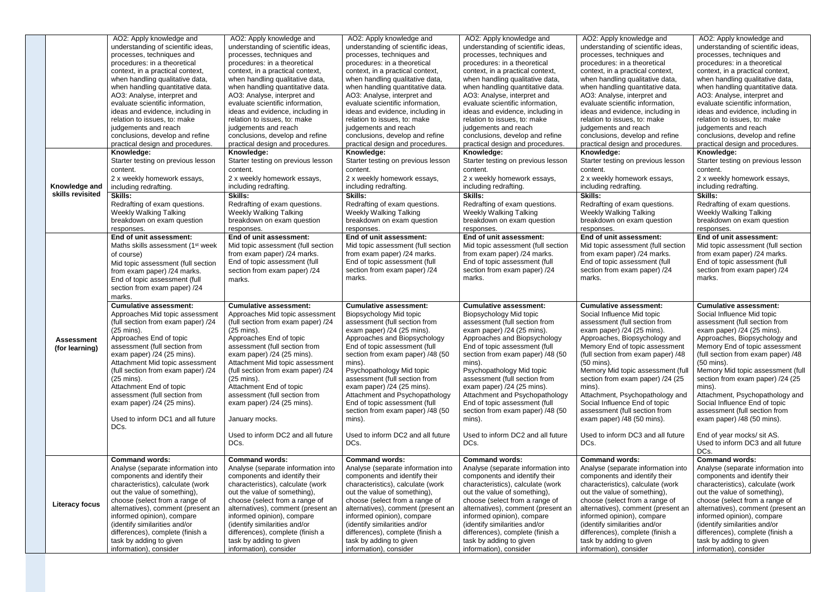|  |                                     | AO2: Apply knowledge and<br>understanding of scientific ideas,<br>processes, techniques and<br>procedures: in a theoretical<br>context, in a practical context,<br>when handling qualitative data,<br>when handling quantitative data.<br>AO3: Analyse, interpret and<br>evaluate scientific information,<br>ideas and evidence, including in<br>relation to issues, to: make<br>judgements and reach<br>conclusions, develop and refine | AO2: Apply knowledge and<br>understanding of scientific ideas,<br>processes, techniques and<br>procedures: in a theoretical<br>context, in a practical context,<br>when handling qualitative data,<br>when handling quantitative data.<br>AO3: Analyse, interpret and<br>evaluate scientific information,<br>ideas and evidence, including in<br>relation to issues, to: make<br>judgements and reach<br>conclusions, develop and refine | AO2: Apply knowledge and<br>understanding of scientific ideas,<br>processes, techniques and<br>procedures: in a theoretical<br>context, in a practical context,<br>when handling qualitative data,<br>when handling quantitative data.<br>AO3: Analyse, interpret and<br>evaluate scientific information,<br>ideas and evidence, including in<br>relation to issues, to: make<br>judgements and reach<br>conclusions, develop and refine | AO2: Apply knowledge and<br>understanding of scientific ideas,<br>processes, techniques and<br>procedures: in a theoretical<br>context, in a practical context,<br>when handling qualitative data,<br>when handling quantitative data.<br>AO3: Analyse, interpret and<br>evaluate scientific information,<br>ideas and evidence, including in<br>relation to issues, to: make<br>judgements and reach<br>conclusions, develop and refine | AO2: Apply knowledge and<br>understanding of scientific ideas,<br>processes, techniques and<br>procedures: in a theoretical<br>context, in a practical context,<br>when handling qualitative data,<br>when handling quantitative data.<br>AO3: Analyse, interpret and<br>evaluate scientific information,<br>ideas and evidence, including in<br>relation to issues, to: make<br>judgements and reach<br>conclusions, develop and refine          | AO2: Apply knowledge and<br>understanding of scientific ideas,<br>processes, techniques and<br>procedures: in a theoretical<br>context, in a practical context,<br>when handling qualitative data,<br>when handling quantitative data.<br>AO3: Analyse, interpret and<br>evaluate scientific information,<br>ideas and evidence, including in<br>relation to issues, to: make<br>judgements and reach<br>conclusions, develop and refine |
|--|-------------------------------------|------------------------------------------------------------------------------------------------------------------------------------------------------------------------------------------------------------------------------------------------------------------------------------------------------------------------------------------------------------------------------------------------------------------------------------------|------------------------------------------------------------------------------------------------------------------------------------------------------------------------------------------------------------------------------------------------------------------------------------------------------------------------------------------------------------------------------------------------------------------------------------------|------------------------------------------------------------------------------------------------------------------------------------------------------------------------------------------------------------------------------------------------------------------------------------------------------------------------------------------------------------------------------------------------------------------------------------------|------------------------------------------------------------------------------------------------------------------------------------------------------------------------------------------------------------------------------------------------------------------------------------------------------------------------------------------------------------------------------------------------------------------------------------------|---------------------------------------------------------------------------------------------------------------------------------------------------------------------------------------------------------------------------------------------------------------------------------------------------------------------------------------------------------------------------------------------------------------------------------------------------|------------------------------------------------------------------------------------------------------------------------------------------------------------------------------------------------------------------------------------------------------------------------------------------------------------------------------------------------------------------------------------------------------------------------------------------|
|  | Knowledge and<br>skills revisited   | practical design and procedures.<br>Knowledge:<br>Starter testing on previous lesson<br>content.<br>2 x weekly homework essays,<br>including redrafting.<br><b>Skills:</b><br>Redrafting of exam questions.<br><b>Weekly Walking Talking</b><br>breakdown on exam question<br>responses.                                                                                                                                                 | practical design and procedures.<br>Knowledge:<br>Starter testing on previous lesson<br>content.<br>2 x weekly homework essays,<br>including redrafting.<br><b>Skills:</b><br>Redrafting of exam questions.<br><b>Weekly Walking Talking</b><br>breakdown on exam question<br>responses.                                                                                                                                                 | practical design and procedures.<br>Knowledge:<br>Starter testing on previous lesson<br>content.<br>2 x weekly homework essays,<br>including redrafting.<br><b>Skills:</b><br>Redrafting of exam questions.<br><b>Weekly Walking Talking</b><br>breakdown on exam question<br>responses.                                                                                                                                                 | practical design and procedures.<br>Knowledge:<br>Starter testing on previous lesson<br>content.<br>2 x weekly homework essays,<br>including redrafting.<br><b>Skills:</b><br>Redrafting of exam questions.<br><b>Weekly Walking Talking</b><br>breakdown on exam question<br>responses.                                                                                                                                                 | practical design and procedures.<br>Knowledge:<br>Starter testing on previous lesson<br>content.<br>2 x weekly homework essays,<br>including redrafting.<br><b>Skills:</b><br>Redrafting of exam questions.<br><b>Weekly Walking Talking</b><br>breakdown on exam question<br>responses.                                                                                                                                                          | practical design and procedures.<br>Knowledge:<br>Starter testing on previous lesson<br>content.<br>2 x weekly homework essays,<br>including redrafting.<br><b>Skills:</b><br>Redrafting of exam questions.<br><b>Weekly Walking Talking</b><br>breakdown on exam question<br>responses.                                                                                                                                                 |
|  |                                     | End of unit assessment:<br>Maths skills assessment (1 <sup>st</sup> week<br>of course)<br>Mid topic assessment (full section<br>from exam paper) /24 marks.<br>End of topic assessment (full<br>section from exam paper) /24<br>marks.                                                                                                                                                                                                   | End of unit assessment:<br>Mid topic assessment (full section<br>from exam paper) /24 marks.<br>End of topic assessment (full<br>section from exam paper) /24<br>marks.                                                                                                                                                                                                                                                                  | End of unit assessment:<br>Mid topic assessment (full section<br>from exam paper) /24 marks.<br>End of topic assessment (full<br>section from exam paper) /24<br>marks.                                                                                                                                                                                                                                                                  | End of unit assessment:<br>Mid topic assessment (full section<br>from exam paper) /24 marks.<br>End of topic assessment (full<br>section from exam paper) /24<br>marks.                                                                                                                                                                                                                                                                  | End of unit assessment:<br>Mid topic assessment (full section<br>from exam paper) /24 marks.<br>End of topic assessment (full<br>section from exam paper) /24<br>marks.                                                                                                                                                                                                                                                                           | End of unit assessment:<br>Mid topic assessment (full section<br>from exam paper) /24 marks.<br>End of topic assessment (full<br>section from exam paper) /24<br>marks.                                                                                                                                                                                                                                                                  |
|  | <b>Assessment</b><br>(for learning) | <b>Cumulative assessment:</b>                                                                                                                                                                                                                                                                                                                                                                                                            | <b>Cumulative assessment:</b>                                                                                                                                                                                                                                                                                                                                                                                                            | <b>Cumulative assessment:</b>                                                                                                                                                                                                                                                                                                                                                                                                            | <b>Cumulative assessment:</b>                                                                                                                                                                                                                                                                                                                                                                                                            | <b>Cumulative assessment:</b>                                                                                                                                                                                                                                                                                                                                                                                                                     | <b>Cumulative assessment:</b>                                                                                                                                                                                                                                                                                                                                                                                                            |
|  |                                     | Approaches Mid topic assessment<br>(full section from exam paper) /24<br>$(25 \text{ mins})$ .<br>Approaches End of topic<br>assessment (full section from<br>exam paper) /24 (25 mins).<br>Attachment Mid topic assessment<br>(full section from exam paper) /24<br>(25 mins).<br>Attachment End of topic<br>assessment (full section from<br>exam paper) /24 (25 mins).<br>Used to inform DC1 and all future<br>DCs.                   | Approaches Mid topic assessment<br>(full section from exam paper) /24<br>(25 mins).<br>Approaches End of topic<br>assessment (full section from<br>exam paper) $/24$ (25 mins).<br>Attachment Mid topic assessment<br>(full section from exam paper) /24<br>$(25 \text{ mins})$ .<br>Attachment End of topic<br>assessment (full section from<br>exam paper) $/24$ (25 mins).<br>January mocks.                                          | Biopsychology Mid topic<br>assessment (full section from<br>exam paper) /24 (25 mins).<br>Approaches and Biopsychology<br>End of topic assessment (full<br>section from exam paper) /48 (50<br>mins).<br>Psychopathology Mid topic<br>assessment (full section from<br>exam paper) /24 (25 mins).<br>Attachment and Psychopathology<br>End of topic assessment (full<br>section from exam paper) /48 (50<br>mins).                       | Biopsychology Mid topic<br>assessment (full section from<br>exam paper) /24 (25 mins).<br>Approaches and Biopsychology<br>End of topic assessment (full<br>section from exam paper) /48 (50<br>mins).<br>Psychopathology Mid topic<br>assessment (full section from<br>exam paper) /24 (25 mins).<br>Attachment and Psychopathology<br>End of topic assessment (full<br>section from exam paper) /48 (50<br>mins).                       | Social Influence Mid topic<br>assessment (full section from<br>exam paper) /24 (25 mins).<br>Approaches, Biopsychology and<br>Memory End of topic assessment<br>(full section from exam paper) /48<br>$(50 \text{ mins})$ .<br>Memory Mid topic assessment (full<br>section from exam paper) /24 (25<br>mins).<br>Attachment, Psychopathology and<br>Social Influence End of topic<br>assessment (full section from<br>exam paper) /48 (50 mins). | Social Influence Mid topic<br>assessment (full section from<br>exam paper) /24 (25 mins).<br>Approaches, Biopsychology and<br>Memory End of topic assessment<br>(full section from exam paper) /48<br>(50 mins).<br>Memory Mid topic assessment (full<br>section from exam paper) /24 (25<br>mins).<br>Attachment, Psychopathology and<br>Social Influence End of topic<br>assessment (full section from<br>exam paper) /48 (50 mins).   |
|  |                                     |                                                                                                                                                                                                                                                                                                                                                                                                                                          | Used to inform DC2 and all future<br>DCs.                                                                                                                                                                                                                                                                                                                                                                                                | Used to inform DC2 and all future<br>DCs.                                                                                                                                                                                                                                                                                                                                                                                                | Used to inform DC2 and all future<br>DCs.                                                                                                                                                                                                                                                                                                                                                                                                | Used to inform DC3 and all future<br>DCs.                                                                                                                                                                                                                                                                                                                                                                                                         | End of year mocks/ sit AS.<br>Used to inform DC3 and all future<br>DCs.                                                                                                                                                                                                                                                                                                                                                                  |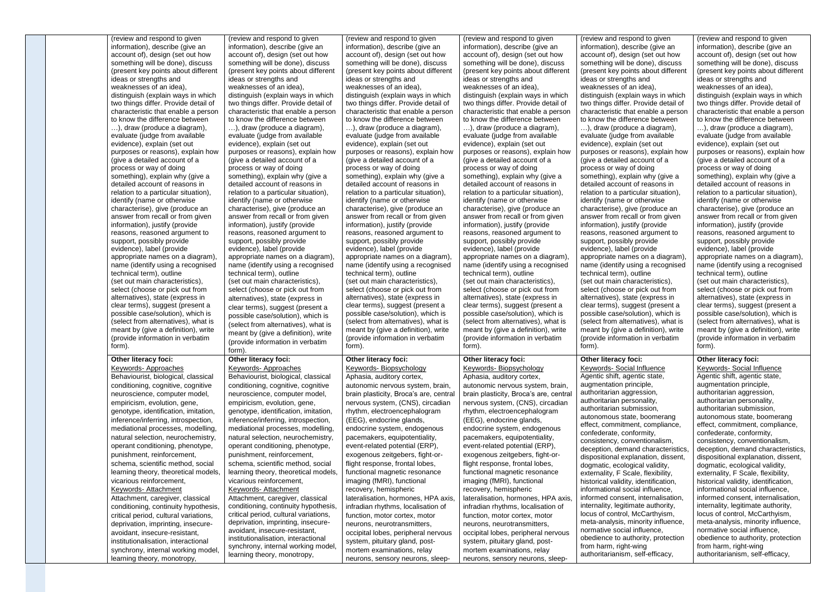(review and respond to given information), describe (give an account of), design (set out how something will be done), discuss (present key points about different ideas or strengths and weaknesses of an idea), distinguish (explain ways in which two things differ. Provide detail of characteristic that enable a person to know the difference between

…), draw (produce a diagram), evaluate (judge from available evidence), explain (set out purposes or reasons), explain how (give a detailed account of a process or way of doing something), explain why (give a detailed account of reasons in relation to a particular situation), identify (name or otherwise characterise), give (produce an answer from recall or from given information), justify (provide reasons, reasoned argument to support, possibly provide evidence), label (provide appropriate names on a diagram), name (identify using a recognised technical term), outline (set out main characteristics), select (choose or pick out from alternatives), state (express in clear terms), suggest (present a possible case/solution), which is (select from alternatives), what is meant by (give a definition), write (provide information in verbatim form).

(review and respond to given information), describe (give an account of), design (set out how something will be done), discuss (present key points about different ideas or strengths and weaknesses of an idea), distinguish (explain ways in which two things differ. Provide detail of characteristic that enable a person to know the difference between …), draw (produce a diagram), evaluate (judge from available evidence), explain (set out purposes or reasons), explain how (give a detailed account of a process or way of doing something), explain why (give a detailed account of reasons in relation to a particular situation), identify (name or otherwise characterise), give (produce an answer from recall or from given information), justify (provide reasons, reasoned argument to support, possibly provide evidence), label (provide appropriate names on a diagram), name (identify using a recognised technical term), outline (set out main characteristics), select (choose or pick out from alternatives), state (express in clear terms), suggest (present a possible case/solution), which is (select from alternatives), what is meant by (give a definition), write (provide information in verbatim form).

(review and respond to given information), describe (give an account of), design (set out how something will be done), discuss (present key points about different ideas or strengths and weaknesses of an idea), distinguish (explain ways in which two things differ. Provide detail of characteristic that enable a person to know the difference between …), draw (produce a diagram), evaluate (judge from available evidence), explain (set out purposes or reasons), explain how (give a detailed account of a process or way of doing something), explain why (give a detailed account of reasons in relation to a particular situation), identify (name or otherwise characterise), give (produce an answer from recall or from given information), justify (provide reasons, reasoned argument to support, possibly provide evidence), label (provide appropriate names on a diagram), name (identify using a recognised technical term), outline (set out main characteristics), select (choose or pick out from alternatives), state (express in clear terms), suggest (present a possible case/solution), which is (select from alternatives), what is meant by (give a definition), write (provide information in verbatim form).

(review and respond to given information), describe (give an account of), design (set out how something will be done), discuss (present key points about different ideas or strengths and weaknesses of an idea), distinguish (explain ways in which two things differ. Provide detail of characteristic that enable a person to know the difference between

…), draw (produce a diagram), evaluate (judge from available evidence), explain (set out purposes or reasons), explain how (give a detailed account of a process or way of doing something), explain why (give a detailed account of reasons in relation to a particular situation), identify (name or otherwise characterise), give (produce an answer from recall or from given information), justify (provide reasons, reasoned argument to support, possibly provide evidence), label (provide appropriate names on a diagram), name (identify using a recognised technical term), outline (set out main characteristics), select (choose or pick out from alternatives), state (express in clear terms), suggest (present a possible case/solution), which is (select from alternatives), what is meant by (give a definition), write (provide information in verbatim form).

**Other literacy foci:**

Keywords- Approaches Behaviourist, biological, classical conditioning, cognitive, cognitive neuroscience, computer model, empiricism, evolution, gene, genotype, identification, imitation, inference/inferring, introspection, mediational processes, modelling, natural selection, neurochemistry, operant conditioning, phenotype, punishment, reinforcement, schema, scientific method, social learning theory, theoretical models, vicarious reinforcement, Keywords- Attachment Attachment, caregiver, classical conditioning, continuity hypothesis, critical period, cultural variations, deprivation, imprinting, insecureavoidant, insecure-resistant, institutionalisation, interactional synchrony, internal working model, learning theory, monotropy,

(review and respond to given information), describe (give an account of), design (set out how something will be done), discuss (present key points about different ideas or strengths and weaknesses of an idea), distinguish (explain ways in which two things differ. Provide detail of characteristic that enable a person to know the difference between …), draw (produce a diagram), evaluate (judge from available evidence), explain (set out purposes or reasons), explain how (give a detailed account of a process or way of doing something), explain why (give a detailed account of reasons in relation to a particular situation), identify (name or otherwise characterise), give (produce an answer from recall or from given information), justify (provide reasons, reasoned argument to support, possibly provide evidence), label (provide appropriate names on a diagram), name (identify using a recognised technical term), outline (set out main characteristics), select (choose or pick out from alternatives), state (express in clear terms), suggest (present a possible case/solution), which is (select from alternatives), what is meant by (give a definition), write (provide information in verbatim form). **Other literacy foci:** Keywords- Social Influence Agentic shift, agentic state, augmentation principle, authoritarian aggression. authoritarian personality, authoritarian submission, autonomous state, boomerang effect, commitment, compliance, confederate, conformity, consistency, conventionalism, deception, demand characteristics, dispositional explanation, dissent, dogmatic, ecological validity, externality, F Scale, flexibility, historical validity, identification, informational social influence, informed consent, internalisation, internality, legitimate authority, locus of control, McCarthyism, meta-analysis, minority influence, normative social influence, obedience to authority, protection from harm, right-wing authoritarianism, self-efficacy,

## **Other literacy foci:**

Keywords- Approaches Behaviourist, biological, classical conditioning, cognitive, cognitive neuroscience, computer model, empiricism, evolution, gene, genotype, identification, imitation, inference/inferring, introspection, mediational processes, modelling, natural selection, neurochemistry, operant conditioning, phenotype, punishment, reinforcement, schema, scientific method, social learning theory, theoretical models, vicarious reinforcement, Keywords- Attachment Attachment, caregiver, classical conditioning, continuity hypothesis, critical period, cultural variations, deprivation, imprinting, insecureavoidant, insecure-resistant,

(review and respond to given information), describe (give an account of), design (set out how something will be done), discuss (present key points about different ideas or strengths and weaknesses of an idea), distinguish (explain ways in which two things differ. Provide detail of characteristic that enable a person to know the difference between …), draw (produce a diagram), evaluate (judge from available evidence), explain (set out purposes or reasons), explain how (give a detailed account of a process or way of doing something), explain why (give a detailed account of reasons in relation to a particular situation), identify (name or otherwise characterise), give (produce an answer from recall or from given information), justify (provide reasons, reasoned argument to support, possibly provide evidence), label (provide appropriate names on a diagram), name (identify using a recognised technical term), outline (set out main characteristics), select (choose or pick out from alternatives), state (express in clear terms), suggest (present a possible case/solution), which is (select from alternatives), what is meant by (give a definition), write (provide information in verbatim form). **Other literacy foci:**

institutionalisation, interactional synchrony, internal working model, learning theory, monotropy,

### **Other literacy foci:**

Keywords- Biopsychology Aphasia, auditory cortex, autonomic nervous system, brain, brain plasticity, Broca's are, central nervous system, (CNS), circadian rhythm, electroencephalogram (EEG), endocrine glands, endocrine system, endogenous pacemakers, equipotentiality, event-related potential (ERP), exogenous zeitgebers, fight-orflight response, frontal lobes, functional magnetic resonance imaging (fMRI), functional recovery, hemispheric lateralisation, hormones, HPA axis, infradian rhythms, localisation of function, motor cortex, motor neurons, neurotransmitters, occipital lobes, peripheral nervous system, pituitary gland, postmortem examinations, relay neurons, sensory neurons, sleep-

## **Other literacy foci:** Keywords- Biopsychology

Aphasia, auditory cortex, autonomic nervous system, brain, brain plasticity, Broca's are, central nervous system, (CNS), circadian rhythm, electroencephalogram (EEG), endocrine glands, endocrine system, endogenous pacemakers, equipotentiality, event-related potential (ERP), exogenous zeitgebers, fight-orflight response, frontal lobes, functional magnetic resonance imaging (fMRI), functional recovery, hemispheric lateralisation, hormones, HPA axis, infradian rhythms, localisation of function, motor cortex, motor neurons, neurotransmitters, occipital lobes, peripheral nervous system, pituitary gland, postmortem examinations, relay neurons, sensory neurons, sleep-

Keywords- Social Influence Agentic shift, agentic state, augmentation principle, authoritarian aggression, authoritarian personality, authoritarian submission, autonomous state, boomerang effect, commitment, compliance, confederate, conformity, consistency, conventionalism, deception, demand characteristics, dispositional explanation, dissent, dogmatic, ecological validity, externality, F Scale, flexibility, historical validity, identification, informational social influence, informed consent, internalisation, internality, legitimate authority, locus of control, McCarthyism, meta-analysis, minority influence, normative social influence, obedience to authority, protection from harm, right-wing authoritarianism, self-efficacy,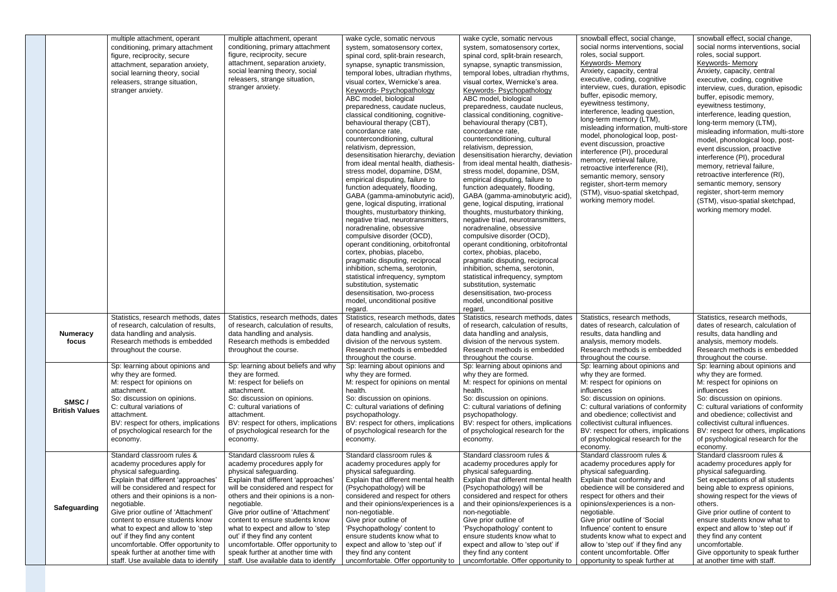|                                | multiple attachment, operant<br>conditioning, primary attachment<br>figure, reciprocity, secure<br>attachment, separation anxiety,<br>social learning theory, social<br>releasers, strange situation,<br>stranger anxiety.                                                                                                                                                                                                                                                                   | multiple attachment, operant<br>conditioning, primary attachment<br>figure, reciprocity, secure<br>attachment, separation anxiety,<br>social learning theory, social<br>releasers, strange situation,<br>stranger anxiety.                                                                                                                                                                                                                                                                   | wake cycle, somatic nervous<br>system, somatosensory cortex,<br>spinal cord, split-brain research,<br>synapse, synaptic transmission,<br>temporal lobes, ultradian rhythms,<br>visual cortex, Wernicke's area.<br>Keywords- Psychopathology<br>ABC model, biological<br>preparedness, caudate nucleus,<br>classical conditioning, cognitive-<br>behavioural therapy (CBT),<br>concordance rate,<br>counterconditioning, cultural<br>relativism, depression,<br>desensitisation hierarchy, deviation<br>from ideal mental health, diathesis-<br>stress model, dopamine, DSM,<br>empirical disputing, failure to<br>function adequately, flooding,<br>GABA (gamma-aminobutyric acid),<br>gene, logical disputing, irrational<br>thoughts, musturbatory thinking,<br>negative triad, neurotransmitters,<br>noradrenaline, obsessive<br>compulsive disorder (OCD),<br>operant conditioning, orbitofrontal<br>cortex, phobias, placebo,<br>pragmatic disputing, reciprocal<br>inhibition, schema, serotonin,<br>statistical infrequency, symptom<br>substitution, systematic<br>desensitisation, two-process<br>model, unconditional positive<br>regard. | wake cycle, somatic nervous<br>system, somatosensory cortex,<br>spinal cord, split-brain research,<br>synapse, synaptic transmission,<br>temporal lobes, ultradian rhythms,<br>visual cortex, Wernicke's area.<br>Keywords- Psychopathology<br>ABC model, biological<br>preparedness, caudate nucleus,<br>classical conditioning, cognitive-<br>behavioural therapy (CBT),<br>concordance rate.<br>counterconditioning, cultural<br>relativism, depression,<br>desensitisation hierarchy, deviation<br>from ideal mental health, diathesis-<br>stress model, dopamine, DSM,<br>empirical disputing, failure to<br>function adequately, flooding,<br>GABA (gamma-aminobutyric acid),<br>gene, logical disputing, irrational<br>thoughts, musturbatory thinking,<br>negative triad, neurotransmitters,<br>noradrenaline, obsessive<br>compulsive disorder (OCD),<br>operant conditioning, orbitofrontal<br>cortex, phobias, placebo,<br>pragmatic disputing, reciprocal<br>inhibition, schema, serotonin,<br>statistical infrequency, symptom<br>substitution, systematic<br>desensitisation, two-process<br>model, unconditional positive<br>regard. | snowball effect, social change,<br>social norms interventions, social<br>roles, social support.<br>Keywords- Memory<br>Anxiety, capacity, central<br>executive, coding, cognitive<br>interview, cues, duration, episodic<br>buffer, episodic memory,<br>eyewitness testimony,<br>interference, leading question,<br>long-term memory (LTM),<br>misleading information, multi-store<br>model, phonological loop, post-<br>event discussion, proactive<br>interference (PI), procedural<br>memory, retrieval failure,<br>retroactive interference (RI),<br>semantic memory, sensory<br>register, short-term memory<br>(STM), visuo-spatial sketchpad,<br>working memory model. | snowball effect, social change,<br>social norms interventions, social<br>roles, social support.<br>Keywords- Memory<br>Anxiety, capacity, central<br>executive, coding, cognitive<br>interview, cues, duration, episodic<br>buffer, episodic memory,<br>eyewitness testimony,<br>interference, leading question,<br>long-term memory (LTM),<br>misleading information, multi-store<br>model, phonological loop, post-<br>event discussion, proactive<br>interference (PI), procedural<br>memory, retrieval failure,<br>retroactive interference (RI),<br>semantic memory, sensory<br>register, short-term memory<br>(STM), visuo-spatial sketchpad,<br>working memory model. |
|--------------------------------|----------------------------------------------------------------------------------------------------------------------------------------------------------------------------------------------------------------------------------------------------------------------------------------------------------------------------------------------------------------------------------------------------------------------------------------------------------------------------------------------|----------------------------------------------------------------------------------------------------------------------------------------------------------------------------------------------------------------------------------------------------------------------------------------------------------------------------------------------------------------------------------------------------------------------------------------------------------------------------------------------|-----------------------------------------------------------------------------------------------------------------------------------------------------------------------------------------------------------------------------------------------------------------------------------------------------------------------------------------------------------------------------------------------------------------------------------------------------------------------------------------------------------------------------------------------------------------------------------------------------------------------------------------------------------------------------------------------------------------------------------------------------------------------------------------------------------------------------------------------------------------------------------------------------------------------------------------------------------------------------------------------------------------------------------------------------------------------------------------------------------------------------------------------------|-----------------------------------------------------------------------------------------------------------------------------------------------------------------------------------------------------------------------------------------------------------------------------------------------------------------------------------------------------------------------------------------------------------------------------------------------------------------------------------------------------------------------------------------------------------------------------------------------------------------------------------------------------------------------------------------------------------------------------------------------------------------------------------------------------------------------------------------------------------------------------------------------------------------------------------------------------------------------------------------------------------------------------------------------------------------------------------------------------------------------------------------------------|------------------------------------------------------------------------------------------------------------------------------------------------------------------------------------------------------------------------------------------------------------------------------------------------------------------------------------------------------------------------------------------------------------------------------------------------------------------------------------------------------------------------------------------------------------------------------------------------------------------------------------------------------------------------------|------------------------------------------------------------------------------------------------------------------------------------------------------------------------------------------------------------------------------------------------------------------------------------------------------------------------------------------------------------------------------------------------------------------------------------------------------------------------------------------------------------------------------------------------------------------------------------------------------------------------------------------------------------------------------|
| <b>Numeracy</b><br>focus       | Statistics, research methods, dates<br>of research, calculation of results,<br>data handling and analysis.<br>Research methods is embedded<br>throughout the course.                                                                                                                                                                                                                                                                                                                         | Statistics, research methods, dates<br>of research, calculation of results,<br>data handling and analysis.<br>Research methods is embedded<br>throughout the course.                                                                                                                                                                                                                                                                                                                         | Statistics, research methods, dates<br>of research, calculation of results,<br>data handling and analysis,<br>division of the nervous system.<br>Research methods is embedded<br>throughout the course.                                                                                                                                                                                                                                                                                                                                                                                                                                                                                                                                                                                                                                                                                                                                                                                                                                                                                                                                             | Statistics, research methods, dates<br>of research, calculation of results,<br>data handling and analysis,<br>division of the nervous system.<br>Research methods is embedded<br>throughout the course.                                                                                                                                                                                                                                                                                                                                                                                                                                                                                                                                                                                                                                                                                                                                                                                                                                                                                                                                             | Statistics, research methods,<br>dates of research, calculation of<br>results, data handling and<br>analysis, memory models.<br>Research methods is embedded<br>throughout the course.                                                                                                                                                                                                                                                                                                                                                                                                                                                                                       | Statistics, research methods,<br>dates of research, calculation of<br>results, data handling and<br>analysis, memory models.<br>Research methods is embedded<br>throughout the course.                                                                                                                                                                                                                                                                                                                                                                                                                                                                                       |
| SMSC/<br><b>British Values</b> | Sp: learning about opinions and<br>why they are formed.<br>M: respect for opinions on<br>attachment.<br>So: discussion on opinions.<br>C: cultural variations of<br>attachment.<br>BV: respect for others, implications<br>of psychological research for the<br>economy.                                                                                                                                                                                                                     | Sp: learning about beliefs and why<br>they are formed.<br>M: respect for beliefs on<br>attachment.<br>So: discussion on opinions.<br>C: cultural variations of<br>attachment.<br>BV: respect for others, implications<br>of psychological research for the<br>economy.                                                                                                                                                                                                                       | Sp: learning about opinions and<br>why they are formed.<br>M: respect for opinions on mental<br>health.<br>So: discussion on opinions.<br>C: cultural variations of defining<br>psychopathology.<br>BV: respect for others, implications<br>of psychological research for the<br>economy.                                                                                                                                                                                                                                                                                                                                                                                                                                                                                                                                                                                                                                                                                                                                                                                                                                                           | Sp: learning about opinions and<br>why they are formed.<br>M: respect for opinions on mental<br>health.<br>So: discussion on opinions.<br>C: cultural variations of defining<br>psychopathology.<br>BV: respect for others, implications<br>of psychological research for the<br>economy.                                                                                                                                                                                                                                                                                                                                                                                                                                                                                                                                                                                                                                                                                                                                                                                                                                                           | Sp: learning about opinions and<br>why they are formed.<br>M: respect for opinions on<br>influences<br>So: discussion on opinions.<br>C: cultural variations of conformity<br>and obedience; collectivist and<br>collectivist cultural influences.<br>BV: respect for others, implications<br>of psychological research for the<br>economy.                                                                                                                                                                                                                                                                                                                                  | Sp: learning about opinions and<br>why they are formed.<br>M: respect for opinions on<br>influences<br>So: discussion on opinions.<br>C: cultural variations of conformity<br>and obedience; collectivist and<br>collectivist cultural influences.<br>BV: respect for others, implications<br>of psychological research for the<br>economy.                                                                                                                                                                                                                                                                                                                                  |
| <b>Safeguarding</b>            | Standard classroom rules &<br>academy procedures apply for<br>physical safeguarding.<br>Explain that different 'approaches'<br>will be considered and respect for<br>others and their opinions is a non-<br>negotiable.<br>Give prior outline of 'Attachment'<br>content to ensure students know<br>what to expect and allow to 'step<br>out' if they find any content<br>uncomfortable. Offer opportunity to<br>speak further at another time with<br>staff. Use available data to identify | Standard classroom rules &<br>academy procedures apply for<br>physical safeguarding.<br>Explain that different 'approaches'<br>will be considered and respect for<br>others and their opinions is a non-<br>negotiable.<br>Give prior outline of 'Attachment'<br>content to ensure students know<br>what to expect and allow to 'step<br>out' if they find any content<br>uncomfortable. Offer opportunity to<br>speak further at another time with<br>staff. Use available data to identify | Standard classroom rules &<br>academy procedures apply for<br>physical safeguarding.<br>Explain that different mental health<br>(Psychopathology) will be<br>considered and respect for others<br>and their opinions/experiences is a<br>non-negotiable.<br>Give prior outline of<br>'Psychopathology' content to<br>ensure students know what to<br>expect and allow to 'step out' if<br>they find any content<br>uncomfortable. Offer opportunity to                                                                                                                                                                                                                                                                                                                                                                                                                                                                                                                                                                                                                                                                                              | Standard classroom rules &<br>academy procedures apply for<br>physical safeguarding.<br>Explain that different mental health<br>(Psychopathology) will be<br>considered and respect for others<br>and their opinions/experiences is a<br>non-negotiable.<br>Give prior outline of<br>'Psychopathology' content to<br>ensure students know what to<br>expect and allow to 'step out' if<br>they find any content<br>uncomfortable. Offer opportunity to                                                                                                                                                                                                                                                                                                                                                                                                                                                                                                                                                                                                                                                                                              | Standard classroom rules &<br>academy procedures apply for<br>physical safeguarding.<br>Explain that conformity and<br>obedience will be considered and<br>respect for others and their<br>opinions/experiences is a non-<br>negotiable.<br>Give prior outline of 'Social<br>Influence' content to ensure<br>students know what to expect and<br>allow to 'step out' if they find any<br>content uncomfortable. Offer<br>opportunity to speak further at                                                                                                                                                                                                                     | Standard classroom rules &<br>academy procedures apply for<br>physical safeguarding.<br>Set expectations of all students<br>being able to express opinions,<br>showing respect for the views of<br>others.<br>Give prior outline of content to<br>ensure students know what to<br>expect and allow to 'step out' if<br>they find any content<br>uncomfortable.<br>Give opportunity to speak further<br>at another time with staff.                                                                                                                                                                                                                                           |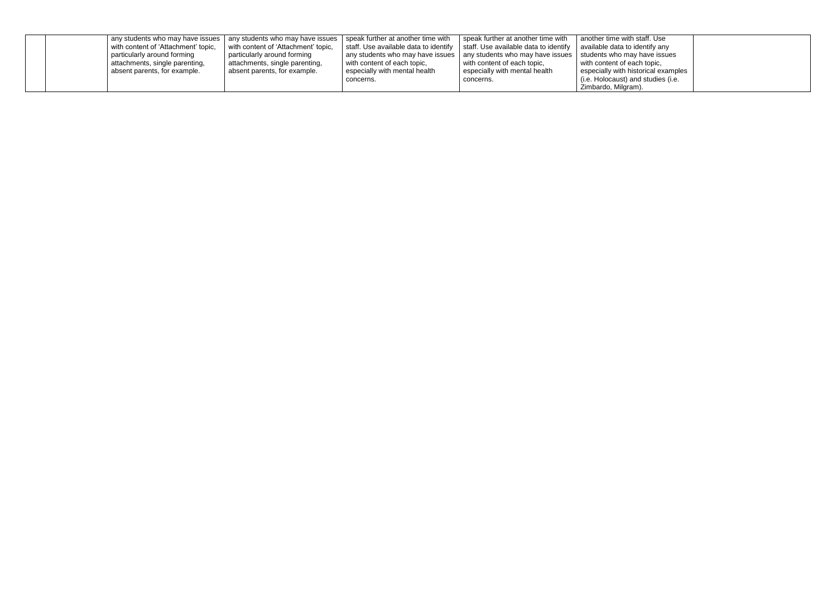|                                     | any students who may have issues   any students who may have issues   speak further at another time with |                                       | speak further at another time with                                                                 | another time with staff. Use        |  |
|-------------------------------------|----------------------------------------------------------------------------------------------------------|---------------------------------------|----------------------------------------------------------------------------------------------------|-------------------------------------|--|
| with content of 'Attachment' topic, | with content of 'Attachment' topic,                                                                      | staff. Use available data to identify | staff. Use available data to identify                                                              | available data to identify any      |  |
| particularly around forming         | particularly around forming                                                                              |                                       | any students who may have issues   any students who may have issues   students who may have issues |                                     |  |
| attachments, single parenting,      | attachments, single parenting,                                                                           | with content of each topic,           | with content of each topic,                                                                        | with content of each topic,         |  |
| absent parents, for example.        | absent parents, for example.                                                                             | especially with mental health         | especially with mental health                                                                      | especially with historical examples |  |
|                                     |                                                                                                          | concerns.                             | concerns.                                                                                          | (i.e. Holocaust) and studies (i.e.  |  |
|                                     |                                                                                                          |                                       |                                                                                                    | Zimbardo, Milgram).                 |  |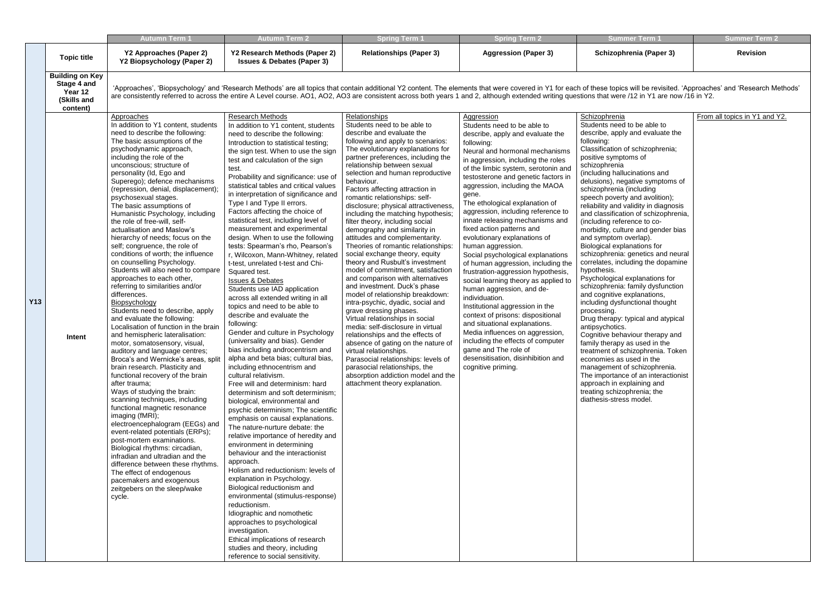|            |                                                                             | Autumn Term 1                                                                                                                                                                                                                                                                                                                                                                                                                                                                                                                                                                                                                                                                                                                                                                                                                                                                                                                                                                                                                                                                                                                                                                                                                                                                                                                                                                                                                                                                                                                            | Autumn Term 2                                                                                                                                                                                                                                                                                                                                                                                                                                                                                                                                                                                                                                                                                                                                                                                                                                                                                                                                                                                                                                                                                                                                                                                                                                                                                                                                                                                                                                                                                                                                                                                                                                                                                                                                          | <b>Spring Term 1</b>                                                                                                                                                                                                                                                                                                                                                                                                                                                                                                                                                                                                                                                                                                                                                                                                                                                                                                                                                                                                                                                                                                                                                                  | <b>Spring Term 2</b>                                                                                                                                                                                                                                                                                                                                                                                                                                                                                                                                                                                                                                                                                                                                                                                                                                                                                                                                                          | <b>Summer Term 1</b>                                                                                                                                                                                                                                                                                                                                                                                                                                                                                                                                                                                                                                                                                                                                                                                                                                                                                                                                                                                                                                                                                                                         | <b>Summer Term 2</b>          |
|------------|-----------------------------------------------------------------------------|------------------------------------------------------------------------------------------------------------------------------------------------------------------------------------------------------------------------------------------------------------------------------------------------------------------------------------------------------------------------------------------------------------------------------------------------------------------------------------------------------------------------------------------------------------------------------------------------------------------------------------------------------------------------------------------------------------------------------------------------------------------------------------------------------------------------------------------------------------------------------------------------------------------------------------------------------------------------------------------------------------------------------------------------------------------------------------------------------------------------------------------------------------------------------------------------------------------------------------------------------------------------------------------------------------------------------------------------------------------------------------------------------------------------------------------------------------------------------------------------------------------------------------------|--------------------------------------------------------------------------------------------------------------------------------------------------------------------------------------------------------------------------------------------------------------------------------------------------------------------------------------------------------------------------------------------------------------------------------------------------------------------------------------------------------------------------------------------------------------------------------------------------------------------------------------------------------------------------------------------------------------------------------------------------------------------------------------------------------------------------------------------------------------------------------------------------------------------------------------------------------------------------------------------------------------------------------------------------------------------------------------------------------------------------------------------------------------------------------------------------------------------------------------------------------------------------------------------------------------------------------------------------------------------------------------------------------------------------------------------------------------------------------------------------------------------------------------------------------------------------------------------------------------------------------------------------------------------------------------------------------------------------------------------------------|---------------------------------------------------------------------------------------------------------------------------------------------------------------------------------------------------------------------------------------------------------------------------------------------------------------------------------------------------------------------------------------------------------------------------------------------------------------------------------------------------------------------------------------------------------------------------------------------------------------------------------------------------------------------------------------------------------------------------------------------------------------------------------------------------------------------------------------------------------------------------------------------------------------------------------------------------------------------------------------------------------------------------------------------------------------------------------------------------------------------------------------------------------------------------------------|-------------------------------------------------------------------------------------------------------------------------------------------------------------------------------------------------------------------------------------------------------------------------------------------------------------------------------------------------------------------------------------------------------------------------------------------------------------------------------------------------------------------------------------------------------------------------------------------------------------------------------------------------------------------------------------------------------------------------------------------------------------------------------------------------------------------------------------------------------------------------------------------------------------------------------------------------------------------------------|----------------------------------------------------------------------------------------------------------------------------------------------------------------------------------------------------------------------------------------------------------------------------------------------------------------------------------------------------------------------------------------------------------------------------------------------------------------------------------------------------------------------------------------------------------------------------------------------------------------------------------------------------------------------------------------------------------------------------------------------------------------------------------------------------------------------------------------------------------------------------------------------------------------------------------------------------------------------------------------------------------------------------------------------------------------------------------------------------------------------------------------------|-------------------------------|
|            | <b>Topic title</b>                                                          | Y2 Approaches (Paper 2)<br>Y2 Biopsychology (Paper 2)                                                                                                                                                                                                                                                                                                                                                                                                                                                                                                                                                                                                                                                                                                                                                                                                                                                                                                                                                                                                                                                                                                                                                                                                                                                                                                                                                                                                                                                                                    | Y2 Research Methods (Paper 2)<br><b>Issues &amp; Debates (Paper 3)</b>                                                                                                                                                                                                                                                                                                                                                                                                                                                                                                                                                                                                                                                                                                                                                                                                                                                                                                                                                                                                                                                                                                                                                                                                                                                                                                                                                                                                                                                                                                                                                                                                                                                                                 | <b>Relationships (Paper 3)</b>                                                                                                                                                                                                                                                                                                                                                                                                                                                                                                                                                                                                                                                                                                                                                                                                                                                                                                                                                                                                                                                                                                                                                        | <b>Aggression (Paper 3)</b>                                                                                                                                                                                                                                                                                                                                                                                                                                                                                                                                                                                                                                                                                                                                                                                                                                                                                                                                                   | Schizophrenia (Paper 3)                                                                                                                                                                                                                                                                                                                                                                                                                                                                                                                                                                                                                                                                                                                                                                                                                                                                                                                                                                                                                                                                                                                      | <b>Revision</b>               |
|            | <b>Building on Key</b><br>Stage 4 and<br>Year 12<br>(Skills and<br>content) |                                                                                                                                                                                                                                                                                                                                                                                                                                                                                                                                                                                                                                                                                                                                                                                                                                                                                                                                                                                                                                                                                                                                                                                                                                                                                                                                                                                                                                                                                                                                          | 'Approaches', 'Biopsychology' and 'Research Methods' are all topics that contain additional Y2 content. The elements that were covered in Y1 for each of these topics will be revisited. 'Approaches' and 'Research Methods'<br>are consistently referred to across the entire A Level course. AO1, AO2, AO3 are consistent across both years 1 and 2, although extended writing questions that were /12 in Y1 are now /16 in Y2.                                                                                                                                                                                                                                                                                                                                                                                                                                                                                                                                                                                                                                                                                                                                                                                                                                                                                                                                                                                                                                                                                                                                                                                                                                                                                                                      |                                                                                                                                                                                                                                                                                                                                                                                                                                                                                                                                                                                                                                                                                                                                                                                                                                                                                                                                                                                                                                                                                                                                                                                       |                                                                                                                                                                                                                                                                                                                                                                                                                                                                                                                                                                                                                                                                                                                                                                                                                                                                                                                                                                               |                                                                                                                                                                                                                                                                                                                                                                                                                                                                                                                                                                                                                                                                                                                                                                                                                                                                                                                                                                                                                                                                                                                                              |                               |
| <b>Y13</b> | Intent                                                                      | Approaches<br>In addition to Y1 content, students<br>need to describe the following:<br>The basic assumptions of the<br>psychodynamic approach,<br>including the role of the<br>unconscious; structure of<br>personality (Id, Ego and<br>Superego); defence mechanisms<br>(repression, denial, displacement)<br>psychosexual stages.<br>The basic assumptions of<br>Humanistic Psychology, including<br>the role of free-will, self-<br>actualisation and Maslow's<br>hierarchy of needs; focus on the<br>self; congruence, the role of<br>conditions of worth; the influence<br>on counselling Psychology.<br>Students will also need to compare<br>approaches to each other,<br>referring to similarities and/or<br>differences.<br>Biopsychology<br>Students need to describe, apply<br>and evaluate the following:<br>Localisation of function in the brain<br>and hemispheric lateralisation:<br>motor, somatosensory, visual,<br>auditory and language centres;<br>Broca's and Wernicke's areas, split<br>brain research. Plasticity and<br>functional recovery of the brain<br>after trauma;<br>Ways of studying the brain:<br>scanning techniques, including<br>functional magnetic resonance<br>imaging (fMRI);<br>electroencephalogram (EEGs) and<br>event-related potentials (ERPs);<br>post-mortem examinations.<br>Biological rhythms: circadian,<br>infradian and ultradian and the<br>difference between these rhythms.<br>The effect of endogenous<br>pacemakers and exogenous<br>zeitgebers on the sleep/wake<br>cycle. | Research Methods<br>In addition to Y1 content, students<br>need to describe the following:<br>Introduction to statistical testing;<br>the sign test. When to use the sign<br>test and calculation of the sign<br>test.<br>Probability and significance: use of<br>statistical tables and critical values<br>in interpretation of significance and<br>Type I and Type II errors.<br>Factors affecting the choice of<br>statistical test, including level of<br>measurement and experimental<br>design. When to use the following<br>tests: Spearman's rho, Pearson's<br>r, Wilcoxon, Mann-Whitney, related<br>t-test, unrelated t-test and Chi-<br>Squared test.<br><b>Issues &amp; Debates</b><br>Students use IAD application<br>across all extended writing in all<br>topics and need to be able to<br>describe and evaluate the<br>following:<br>Gender and culture in Psychology<br>(universality and bias). Gender<br>bias including androcentrism and<br>alpha and beta bias; cultural bias,<br>including ethnocentrism and<br>cultural relativism.<br>Free will and determinism: hard<br>determinism and soft determinism;<br>biological, environmental and<br>psychic determinism; The scientific<br>emphasis on causal explanations.<br>The nature-nurture debate: the<br>relative importance of heredity and<br>environment in determining<br>behaviour and the interactionist<br>approach.<br>Holism and reductionism: levels of<br>explanation in Psychology.<br>Biological reductionism and<br>environmental (stimulus-response)<br>reductionism.<br>Idiographic and nomothetic<br>approaches to psychological<br>investigation.<br>Ethical implications of research<br>studies and theory, including<br>reference to social sensitivity. | Relationships<br>Students need to be able to<br>describe and evaluate the<br>following and apply to scenarios:<br>The evolutionary explanations for<br>partner preferences, including the<br>relationship between sexual<br>selection and human reproductive<br>behaviour.<br>Factors affecting attraction in<br>romantic relationships: self-<br>disclosure; physical attractiveness,<br>including the matching hypothesis;<br>filter theory, including social<br>demography and similarity in<br>attitudes and complementarity.<br>Theories of romantic relationships:<br>social exchange theory, equity<br>theory and Rusbult's investment<br>model of commitment, satisfaction<br>and comparison with alternatives<br>and investment. Duck's phase<br>model of relationship breakdown:<br>intra-psychic, dyadic, social and<br>grave dressing phases.<br>Virtual relationships in social<br>media: self-disclosure in virtual<br>relationships and the effects of<br>absence of gating on the nature of<br>virtual relationships.<br>Parasocial relationships: levels of<br>parasocial relationships, the<br>absorption addiction model and the<br>attachment theory explanation. | <b>Aggression</b><br>Students need to be able to<br>describe, apply and evaluate the<br>following:<br>Neural and hormonal mechanisms<br>in aggression, including the roles<br>of the limbic system, serotonin and<br>testosterone and genetic factors in<br>aggression, including the MAOA<br>gene.<br>The ethological explanation of<br>aggression, including reference to<br>innate releasing mechanisms and<br>fixed action patterns and<br>evolutionary explanations of<br>human aggression.<br>Social psychological explanations<br>of human aggression, including the<br>frustration-aggression hypothesis,<br>social learning theory as applied to<br>human aggression, and de-<br>individuation.<br>Institutional aggression in the<br>context of prisons: dispositional<br>and situational explanations.<br>Media influences on aggression,<br>including the effects of computer<br>game and The role of<br>desensitisation, disinhibition and<br>cognitive priming. | Schizophrenia<br>Students need to be able to<br>describe, apply and evaluate the<br>following:<br>Classification of schizophrenia;<br>positive symptoms of<br>schizophrenia<br>(including hallucinations and<br>delusions), negative symptoms of<br>schizophrenia (including<br>speech poverty and avolition);<br>reliability and validity in diagnosis<br>and classification of schizophrenia,<br>(including reference to co-<br>morbidity, culture and gender bias<br>and symptom overlap).<br>Biological explanations for<br>schizophrenia: genetics and neural<br>correlates, including the dopamine<br>hypothesis.<br>Psychological explanations for<br>schizophrenia: family dysfunction<br>and cognitive explanations,<br>including dysfunctional thought<br>processing.<br>Drug therapy: typical and atypical<br>antipsychotics.<br>Cognitive behaviour therapy and<br>family therapy as used in the<br>treatment of schizophrenia. Token<br>economies as used in the<br>management of schizophrenia.<br>The importance of an interactionist<br>approach in explaining and<br>treating schizophrenia; the<br>diathesis-stress model. | From all topics in Y1 and Y2. |

|  | ı. | ı.<br>u<br>u | u |  |
|--|----|--------------|---|--|
|  |    |              |   |  |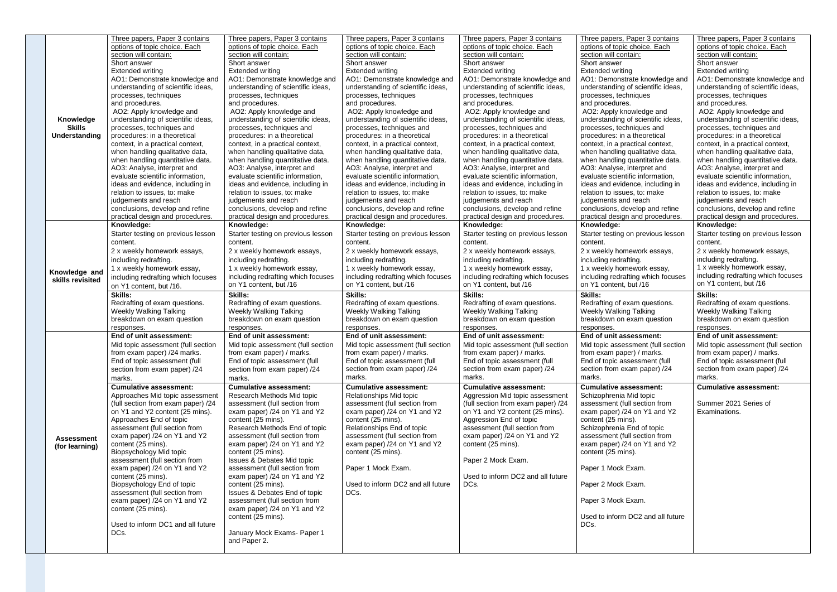|                   | Three papers, Paper 3 contains     | Three papers, Paper 3 contains        | Three papers, Paper 3 contains     | Three papers, Paper 3 contains     | Three papers, Paper 3 contains     | Three papers, Paper 3 contains     |
|-------------------|------------------------------------|---------------------------------------|------------------------------------|------------------------------------|------------------------------------|------------------------------------|
|                   | options of topic choice. Each      | options of topic choice. Each         | options of topic choice. Each      | options of topic choice. Each      | options of topic choice. Each      | options of topic choice. Each      |
|                   |                                    |                                       |                                    |                                    |                                    |                                    |
|                   | section will contain:              | section will contain:                 | section will contain:              | section will contain:              | section will contain:              | section will contain:              |
|                   | Short answer                       | Short answer                          | Short answer                       | Short answer                       | Short answer                       | Short answer                       |
|                   | <b>Extended writing</b>            | <b>Extended writing</b>               | <b>Extended writing</b>            | <b>Extended writing</b>            | <b>Extended writing</b>            | <b>Extended writing</b>            |
|                   | AO1: Demonstrate knowledge and     | AO1: Demonstrate knowledge and        | AO1: Demonstrate knowledge and     | AO1: Demonstrate knowledge and     | AO1: Demonstrate knowledge and     | AO1: Demonstrate knowledge and     |
|                   | understanding of scientific ideas, | understanding of scientific ideas,    | understanding of scientific ideas, | understanding of scientific ideas, | understanding of scientific ideas, | understanding of scientific ideas, |
|                   | processes, techniques              | processes, techniques                 | processes, techniques              | processes, techniques              | processes, techniques              | processes, techniques              |
|                   |                                    |                                       |                                    |                                    |                                    |                                    |
|                   | and procedures.                    | and procedures.                       | and procedures.                    | and procedures.                    | and procedures.                    | and procedures.                    |
|                   | AO2: Apply knowledge and           | AO2: Apply knowledge and              | AO2: Apply knowledge and           | AO2: Apply knowledge and           | AO2: Apply knowledge and           | AO2: Apply knowledge and           |
| Knowledge         | understanding of scientific ideas, | understanding of scientific ideas,    | understanding of scientific ideas, | understanding of scientific ideas, | understanding of scientific ideas, | understanding of scientific ideas, |
| <b>Skills</b>     | processes, techniques and          | processes, techniques and             | processes, techniques and          | processes, techniques and          | processes, techniques and          | processes, techniques and          |
| Understanding     | procedures: in a theoretical       | procedures: in a theoretical          | procedures: in a theoretical       | procedures: in a theoretical       | procedures: in a theoretical       | procedures: in a theoretical       |
|                   | context, in a practical context,   | context, in a practical context,      | context, in a practical context,   | context, in a practical context,   | context, in a practical context,   | context, in a practical context,   |
|                   | when handling qualitative data,    |                                       | when handling qualitative data,    |                                    | when handling qualitative data,    | when handling qualitative data,    |
|                   |                                    | when handling qualitative data,       |                                    | when handling qualitative data,    |                                    |                                    |
|                   | when handling quantitative data.   | when handling quantitative data.      | when handling quantitative data.   | when handling quantitative data.   | when handling quantitative data.   | when handling quantitative data.   |
|                   | AO3: Analyse, interpret and        | AO3: Analyse, interpret and           | AO3: Analyse, interpret and        | AO3: Analyse, interpret and        | AO3: Analyse, interpret and        | AO3: Analyse, interpret and        |
|                   | evaluate scientific information,   | evaluate scientific information,      | evaluate scientific information,   | evaluate scientific information,   | evaluate scientific information,   | evaluate scientific information,   |
|                   | ideas and evidence, including in   | ideas and evidence, including in      | ideas and evidence, including in   | ideas and evidence, including in   | ideas and evidence, including in   | ideas and evidence, including in   |
|                   | relation to issues, to: make       | relation to issues, to: make          | relation to issues, to: make       | relation to issues, to: make       | relation to issues, to: make       | relation to issues, to: make       |
|                   | judgements and reach               | judgements and reach                  | judgements and reach               | judgements and reach               | judgements and reach               | judgements and reach               |
|                   |                                    |                                       |                                    |                                    |                                    |                                    |
|                   | conclusions, develop and refine    | conclusions, develop and refine       | conclusions, develop and refine    | conclusions, develop and refine    | conclusions, develop and refine    | conclusions, develop and refine    |
|                   | practical design and procedures.   | practical design and procedures.      | practical design and procedures.   | practical design and procedures    | practical design and procedures    | practical design and procedures.   |
|                   | Knowledge:                         | Knowledge:                            | Knowledge:                         | Knowledge:                         | Knowledge:                         | Knowledge:                         |
|                   | Starter testing on previous lesson | Starter testing on previous lesson    | Starter testing on previous lesson | Starter testing on previous lesson | Starter testing on previous lesson | Starter testing on previous lesson |
|                   | content.                           | content.                              | content.                           | content.                           | content.                           | content.                           |
|                   |                                    |                                       |                                    |                                    |                                    |                                    |
|                   | 2 x weekly homework essays,        | 2 x weekly homework essays,           | 2 x weekly homework essays,        | 2 x weekly homework essays,        | 2 x weekly homework essays,        | 2 x weekly homework essays,        |
|                   | including redrafting.              | including redrafting.                 | including redrafting.              | including redrafting.              | including redrafting.              | including redrafting.              |
|                   | 1 x weekly homework essay,         | 1 x weekly homework essay,            | 1 x weekly homework essay,         | 1 x weekly homework essay,         | 1 x weekly homework essay,         | 1 x weekly homework essay,         |
| Knowledge and     | including redrafting which focuses | including redrafting which focuses    | including redrafting which focuses | including redrafting which focuses | including redrafting which focuses | including redrafting which focuses |
| skills revisited  |                                    | on Y1 content, but /16                | on Y1 content, but /16             | on Y1 content, but /16             | on Y1 content, but /16             | on Y1 content, but /16             |
|                   | on Y1 content, but /16.            |                                       |                                    |                                    |                                    |                                    |
|                   |                                    |                                       |                                    |                                    |                                    |                                    |
|                   | <b>Skills:</b>                     | <b>Skills:</b>                        | Skills:                            | <b>Skills:</b>                     | <b>Skills:</b>                     | <b>Skills:</b>                     |
|                   | Redrafting of exam questions.      | Redrafting of exam questions.         | Redrafting of exam questions.      | Redrafting of exam questions.      | Redrafting of exam questions.      | Redrafting of exam questions.      |
|                   |                                    |                                       |                                    |                                    |                                    |                                    |
|                   | <b>Weekly Walking Talking</b>      | <b>Weekly Walking Talking</b>         | <b>Weekly Walking Talking</b>      | <b>Weekly Walking Talking</b>      | <b>Weekly Walking Talking</b>      | <b>Weekly Walking Talking</b>      |
|                   | breakdown on exam question         | breakdown on exam question            | breakdown on exam question         | breakdown on exam question         | breakdown on exam question         | breakdown on exam question         |
|                   | responses.                         | responses.                            | responses.                         | responses.                         | responses.                         | responses.                         |
|                   | End of unit assessment:            | End of unit assessment:               | End of unit assessment:            | End of unit assessment:            | End of unit assessment:            | End of unit assessment:            |
|                   | Mid topic assessment (full section | Mid topic assessment (full section    | Mid topic assessment (full section | Mid topic assessment (full section | Mid topic assessment (full section | Mid topic assessment (full section |
|                   | from exam paper) /24 marks.        | from exam paper) / marks.             | from exam paper) / marks.          | from exam paper) / marks.          | from exam paper) / marks.          | from exam paper) / marks.          |
|                   | End of topic assessment (full      | End of topic assessment (full         | End of topic assessment (full      | End of topic assessment (full      | End of topic assessment (full      | End of topic assessment (full      |
|                   |                                    |                                       | section from exam paper) /24       | section from exam paper) /24       | section from exam paper) /24       | section from exam paper) /24       |
|                   | section from exam paper) /24       | section from exam paper) /24          | marks.                             | marks.                             | marks.                             | marks.                             |
|                   | marks.                             | marks.                                |                                    |                                    |                                    |                                    |
|                   | <b>Cumulative assessment:</b>      | <b>Cumulative assessment:</b>         | <b>Cumulative assessment:</b>      | <b>Cumulative assessment:</b>      | <b>Cumulative assessment:</b>      | <b>Cumulative assessment:</b>      |
|                   | Approaches Mid topic assessment    | Research Methods Mid topic            | Relationships Mid topic            | Aggression Mid topic assessment    | Schizophrenia Mid topic            |                                    |
|                   | (full section from exam paper) /24 | assessment (full section from         | assessment (full section from      | (full section from exam paper) /24 | assessment (full section from      | Summer 2021 Series of              |
|                   | on Y1 and Y2 content (25 mins).    | exam paper) /24 on Y1 and Y2          | exam paper) /24 on Y1 and Y2       | on Y1 and Y2 content (25 mins).    | exam paper) /24 on Y1 and Y2       | Examinations.                      |
|                   | Approaches End of topic            | content (25 mins).                    | content (25 mins).                 | Aggression End of topic            | content (25 mins).                 |                                    |
|                   |                                    |                                       |                                    |                                    |                                    |                                    |
|                   | assessment (full section from      | Research Methods End of topic         | Relationships End of topic         | assessment (full section from      | Schizophrenia End of topic         |                                    |
| <b>Assessment</b> | exam paper) /24 on Y1 and Y2       | assessment (full section from         | assessment (full section from      | exam paper) /24 on Y1 and Y2       | assessment (full section from      |                                    |
| (for learning)    | content (25 mins).                 | exam paper) /24 on Y1 and Y2          | exam paper) /24 on Y1 and Y2       | content (25 mins).                 | exam paper) /24 on Y1 and Y2       |                                    |
|                   | Biopsychology Mid topic            | content (25 mins).                    | content (25 mins).                 |                                    | content (25 mins).                 |                                    |
|                   | assessment (full section from      | <b>Issues &amp; Debates Mid topic</b> |                                    | Paper 2 Mock Exam.                 |                                    |                                    |
|                   | exam paper) /24 on Y1 and Y2       | assessment (full section from         | Paper 1 Mock Exam.                 |                                    | Paper 1 Mock Exam.                 |                                    |
|                   | content (25 mins).                 | exam paper) /24 on Y1 and Y2          |                                    | Used to inform DC2 and all future  |                                    |                                    |
|                   | Biopsychology End of topic         | content (25 mins).                    | Used to inform DC2 and all future  | DCs.                               | Paper 2 Mock Exam.                 |                                    |
|                   |                                    |                                       |                                    |                                    |                                    |                                    |
|                   | assessment (full section from      | Issues & Debates End of topic         | DCs.                               |                                    |                                    |                                    |
|                   | exam paper) /24 on Y1 and Y2       | assessment (full section from         |                                    |                                    | Paper 3 Mock Exam.                 |                                    |
|                   | content (25 mins).                 | exam paper) /24 on Y1 and Y2          |                                    |                                    |                                    |                                    |
|                   |                                    | content (25 mins).                    |                                    |                                    | Used to inform DC2 and all future  |                                    |
|                   | Used to inform DC1 and all future  |                                       |                                    |                                    | DCs.                               |                                    |
|                   | DCs.                               | January Mock Exams- Paper 1           |                                    |                                    |                                    |                                    |
|                   |                                    | and Paper 2.                          |                                    |                                    |                                    |                                    |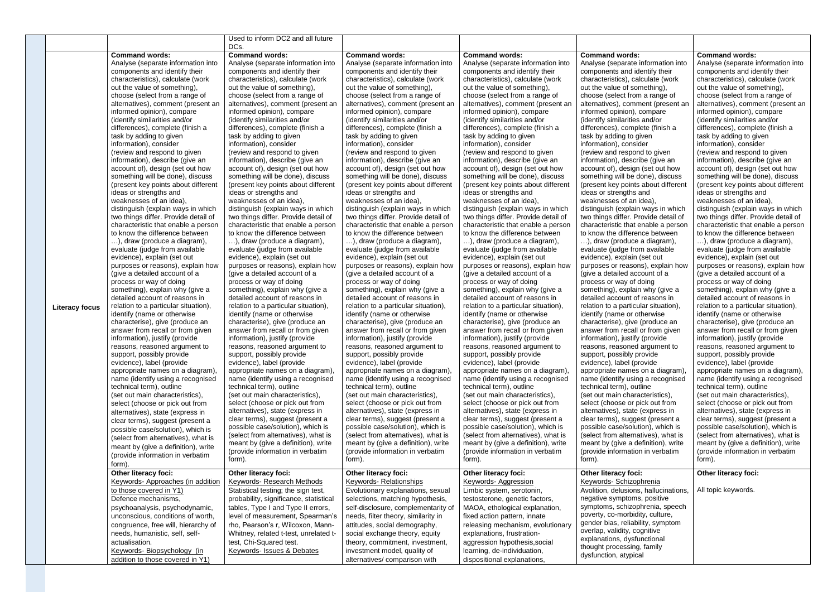|                       |                                                                            | Used to inform DC2 and all future                                             |                                                                            |                                                                            |                                                                             |                                                                             |
|-----------------------|----------------------------------------------------------------------------|-------------------------------------------------------------------------------|----------------------------------------------------------------------------|----------------------------------------------------------------------------|-----------------------------------------------------------------------------|-----------------------------------------------------------------------------|
|                       | <b>Command words:</b>                                                      | DCs.<br><b>Command words:</b>                                                 | <b>Command words:</b>                                                      | <b>Command words:</b>                                                      | <b>Command words:</b>                                                       | <b>Command words:</b>                                                       |
|                       | Analyse (separate information into<br>components and identify their        | Analyse (separate information into<br>components and identify their           | Analyse (separate information into<br>components and identify their        | Analyse (separate information into<br>components and identify their        | Analyse (separate information into<br>components and identify their         | Analyse (separate information into<br>components and identify their         |
|                       | characteristics), calculate (work                                          | characteristics), calculate (work                                             | characteristics), calculate (work                                          | characteristics), calculate (work                                          | characteristics), calculate (work                                           | characteristics), calculate (work                                           |
|                       | out the value of something),<br>choose (select from a range of             | out the value of something),<br>choose (select from a range of                | out the value of something),<br>choose (select from a range of             | out the value of something),<br>choose (select from a range of             | out the value of something),<br>choose (select from a range of              | out the value of something),<br>choose (select from a range of              |
|                       | alternatives), comment (present an                                         | alternatives), comment (present an                                            | alternatives), comment (present an                                         | alternatives), comment (present an                                         | alternatives), comment (present an                                          | alternatives), comment (present an                                          |
|                       | informed opinion), compare<br>(identify similarities and/or                | informed opinion), compare<br>(identify similarities and/or                   | informed opinion), compare<br>(identify similarities and/or                | informed opinion), compare<br>(identify similarities and/or                | informed opinion), compare<br>(identify similarities and/or                 | informed opinion), compare<br>(identify similarities and/or                 |
|                       | differences), complete (finish a                                           | differences), complete (finish a                                              | differences), complete (finish a                                           | differences), complete (finish a                                           | differences), complete (finish a                                            | differences), complete (finish a                                            |
|                       | task by adding to given<br>information), consider                          | task by adding to given<br>information), consider                             | task by adding to given<br>information), consider                          | task by adding to given<br>information), consider                          | task by adding to given<br>information), consider                           | task by adding to given<br>information), consider                           |
|                       | (review and respond to given                                               | (review and respond to given                                                  | (review and respond to given                                               | (review and respond to given                                               | (review and respond to given                                                | (review and respond to given                                                |
|                       | information), describe (give an<br>account of), design (set out how        | information), describe (give an<br>account of), design (set out how           | information), describe (give an<br>account of), design (set out how        | information), describe (give an<br>account of), design (set out how        | information), describe (give an<br>account of), design (set out how         | information), describe (give an<br>account of), design (set out how         |
|                       | something will be done), discuss                                           | something will be done), discuss                                              | something will be done), discuss                                           | something will be done), discuss                                           | something will be done), discuss                                            | something will be done), discuss                                            |
|                       | (present key points about different                                        | (present key points about different                                           | (present key points about different                                        | (present key points about different                                        | (present key points about different                                         | (present key points about different                                         |
|                       | ideas or strengths and<br>weaknesses of an idea),                          | ideas or strengths and<br>weaknesses of an idea),                             | ideas or strengths and<br>weaknesses of an idea),                          | ideas or strengths and<br>weaknesses of an idea),                          | ideas or strengths and<br>weaknesses of an idea),                           | ideas or strengths and<br>weaknesses of an idea),                           |
|                       | distinguish (explain ways in which<br>two things differ. Provide detail of | distinguish (explain ways in which<br>two things differ. Provide detail of    | distinguish (explain ways in which<br>two things differ. Provide detail of | distinguish (explain ways in which<br>two things differ. Provide detail of | distinguish (explain ways in which                                          | distinguish (explain ways in which                                          |
|                       | characteristic that enable a person                                        | characteristic that enable a person                                           | characteristic that enable a person                                        | characteristic that enable a person                                        | two things differ. Provide detail of<br>characteristic that enable a person | two things differ. Provide detail of<br>characteristic that enable a person |
|                       | to know the difference between<br>), draw (produce a diagram),             | to know the difference between<br>), draw (produce a diagram),                | to know the difference between<br>), draw (produce a diagram),             | to know the difference between<br>), draw (produce a diagram),             | to know the difference between<br>), draw (produce a diagram),              | to know the difference between<br>), draw (produce a diagram),              |
|                       | evaluate (judge from available                                             | evaluate (judge from available                                                | evaluate (judge from available                                             | evaluate (judge from available                                             | evaluate (judge from available                                              | evaluate (judge from available                                              |
|                       | evidence), explain (set out<br>purposes or reasons), explain how           | evidence), explain (set out<br>purposes or reasons), explain how              | evidence), explain (set out<br>purposes or reasons), explain how           | evidence), explain (set out<br>purposes or reasons), explain how           | evidence), explain (set out<br>purposes or reasons), explain how            | evidence), explain (set out<br>purposes or reasons), explain how            |
|                       | (give a detailed account of a                                              | (give a detailed account of a                                                 | (give a detailed account of a                                              | (give a detailed account of a                                              | (give a detailed account of a                                               | (give a detailed account of a                                               |
|                       | process or way of doing<br>something), explain why (give a                 | process or way of doing<br>something), explain why (give a                    | process or way of doing<br>something), explain why (give a                 | process or way of doing<br>something), explain why (give a                 | process or way of doing<br>something), explain why (give a                  | process or way of doing<br>something), explain why (give a                  |
|                       | detailed account of reasons in                                             | detailed account of reasons in                                                | detailed account of reasons in                                             | detailed account of reasons in                                             | detailed account of reasons in                                              | detailed account of reasons in                                              |
| <b>Literacy focus</b> | relation to a particular situation),<br>identify (name or otherwise        | relation to a particular situation),<br>identify (name or otherwise           | relation to a particular situation),<br>identify (name or otherwise        | relation to a particular situation),<br>identify (name or otherwise        | relation to a particular situation),<br>identify (name or otherwise         | relation to a particular situation),<br>identify (name or otherwise         |
|                       | characterise), give (produce an                                            | characterise), give (produce an                                               | characterise), give (produce an                                            | characterise), give (produce an                                            | characterise), give (produce an                                             | characterise), give (produce an                                             |
|                       | answer from recall or from given<br>information), justify (provide         | answer from recall or from given<br>information), justify (provide            | answer from recall or from given<br>information), justify (provide         | answer from recall or from given<br>information), justify (provide         | answer from recall or from given<br>information), justify (provide          | answer from recall or from given<br>information), justify (provide          |
|                       | reasons, reasoned argument to                                              | reasons, reasoned argument to                                                 | reasons, reasoned argument to                                              | reasons, reasoned argument to                                              | reasons, reasoned argument to                                               | reasons, reasoned argument to                                               |
|                       | support, possibly provide<br>evidence), label (provide                     | support, possibly provide<br>evidence), label (provide                        | support, possibly provide<br>evidence), label (provide                     | support, possibly provide<br>evidence), label (provide                     | support, possibly provide<br>evidence), label (provide                      | support, possibly provide<br>evidence), label (provide                      |
|                       | appropriate names on a diagram),                                           | appropriate names on a diagram),                                              | appropriate names on a diagram),                                           | appropriate names on a diagram),                                           | appropriate names on a diagram),                                            | appropriate names on a diagram),                                            |
|                       | name (identify using a recognised<br>technical term), outline              | name (identify using a recognised<br>technical term), outline                 | name (identify using a recognised<br>technical term), outline              | name (identify using a recognised<br>technical term), outline              | name (identify using a recognised<br>technical term), outline               | name (identify using a recognised<br>technical term), outline               |
|                       | (set out main characteristics),                                            | (set out main characteristics),                                               | (set out main characteristics),                                            | (set out main characteristics),                                            | (set out main characteristics),                                             | (set out main characteristics),                                             |
|                       | select (choose or pick out from<br>alternatives), state (express in        | select (choose or pick out from<br>alternatives), state (express in           | select (choose or pick out from<br>alternatives), state (express in        | select (choose or pick out from<br>alternatives), state (express in        | select (choose or pick out from<br>alternatives), state (express in         | select (choose or pick out from<br>alternatives), state (express in         |
|                       | clear terms), suggest (present a                                           | clear terms), suggest (present a<br>possible case/solution), which is         | clear terms), suggest (present a<br>possible case/solution), which is      | clear terms), suggest (present a<br>possible case/solution), which is      | clear terms), suggest (present a<br>possible case/solution), which is       | clear terms), suggest (present a<br>possible case/solution), which is       |
|                       | possible case/solution), which is<br>(select from alternatives), what is   | (select from alternatives), what is                                           | (select from alternatives), what is                                        | (select from alternatives), what is                                        | (select from alternatives), what is                                         | (select from alternatives), what is                                         |
|                       | meant by (give a definition), write                                        | meant by (give a definition), write<br>(provide information in verbatim       | meant by (give a definition), write<br>(provide information in verbatim    | meant by (give a definition), write<br>(provide information in verbatim    | meant by (give a definition), write<br>(provide information in verbatim     | meant by (give a definition), write<br>(provide information in verbatim     |
|                       | (provide information in verbatim<br>form)                                  | form).                                                                        | form).                                                                     | form).                                                                     | form).                                                                      | form).                                                                      |
|                       | Other literacy foci:                                                       | Other literacy foci:                                                          | Other literacy foci:                                                       | Other literacy foci:                                                       | <b>Other literacy foci:</b>                                                 | <b>Other literacy foci:</b>                                                 |
|                       | Keywords-Approaches (in addition                                           | <b>Keywords- Research Methods</b>                                             | <b>Keywords- Relationships</b>                                             | Keywords-Aggression                                                        | Keywords- Schizophrenia                                                     | All topic keywords.                                                         |
|                       | to those covered in Y1)<br>Defence mechanisms,                             | Statistical testing; the sign test,<br>probability, significance, statistical | Evolutionary explanations, sexual<br>selections, matching hypothesis,      | Limbic system, serotonin,<br>testosterone, genetic factors,                | Avolition, delusions, hallucinations,<br>negative symptoms, positive        |                                                                             |
|                       | psychoanalysis, psychodynamic,                                             | tables, Type I and Type II errors,                                            | self-disclosure, complementarity of                                        | MAOA, ethological explanation,                                             | symptoms, schizophrenia, speech<br>poverty, co-morbidity, culture,          |                                                                             |
|                       | unconscious, conditions of worth,<br>congruence, free will, hierarchy of   | level of measurement, Spearman's<br>rho, Pearson's r, Wilcoxon, Mann-         | needs, filter theory, similarity in<br>attitudes, social demography,       | fixed action pattern, innate<br>releasing mechanism, evolutionary          | gender bias, reliability, symptom                                           |                                                                             |
|                       | needs, humanistic, self, self-                                             | Whitney, related t-test, unrelated t-                                         | social exchange theory, equity                                             | explanations, frustration-                                                 | overlap, validity, cognitive<br>explanations, dysfunctional                 |                                                                             |
|                       | actualisation.<br>Keywords-Biopsychology (in                               | test, Chi-Squared test.<br>Keywords- Issues & Debates                         | theory, commitment, investment,<br>investment model, quality of            | aggression hypothesis, social<br>learning, de-individuation,               | thought processing, family                                                  |                                                                             |
|                       | addition to those covered in Y1)                                           |                                                                               | alternatives/ comparison with                                              | dispositional explanations,                                                | dysfunction, atypical                                                       |                                                                             |